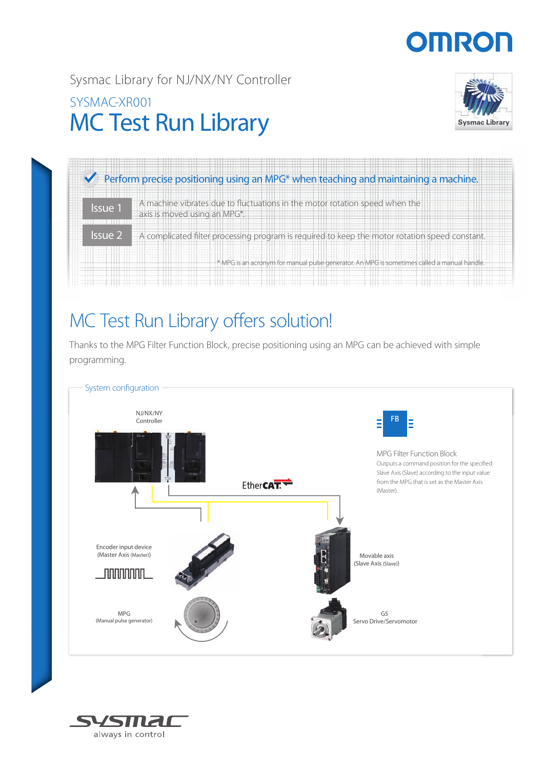# **OMRO**

Sysmac Library for NJ/NX/NY Controller

### MC Test Run Library SYSMAC-XR001





## MC Test Run Library offers solution!

Thanks to the MPG Filter Function Block, precise positioning using an MPG can be achieved with simple programming.